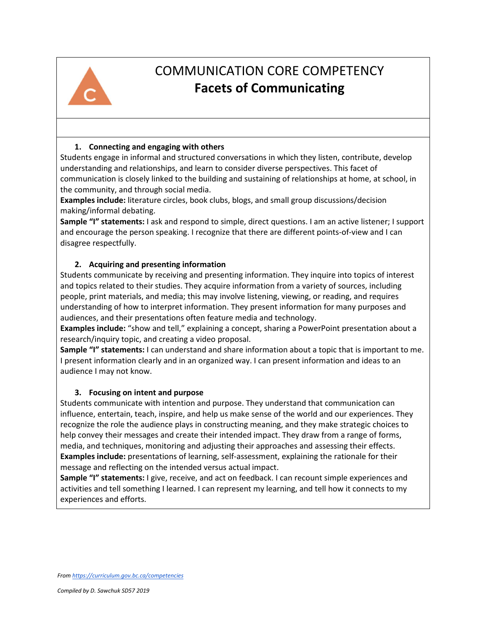

# COMMUNICATION CORE COMPETENCY **Facets of Communicating**

## **1. Connecting and engaging with others**

Students engage in informal and structured conversations in which they listen, contribute, develop understanding and relationships, and learn to consider diverse perspectives. This facet of communication is closely linked to the building and sustaining of relationships at home, at school, in the community, and through social media.

**Examples include:** literature circles, book clubs, blogs, and small group discussions/decision making/informal debating.

**Sample "I" statements:** I ask and respond to simple, direct questions. I am an active listener; I support and encourage the person speaking. I recognize that there are different points-of-view and I can disagree respectfully.

## **2. Acquiring and presenting information**

Students communicate by receiving and presenting information. They inquire into topics of interest and topics related to their studies. They acquire information from a variety of sources, including people, print materials, and media; this may involve listening, viewing, or reading, and requires understanding of how to interpret information. They present information for many purposes and audiences, and their presentations often feature media and technology.

**Examples include:** "show and tell," explaining a concept, sharing a PowerPoint presentation about a research/inquiry topic, and creating a video proposal.

**Sample "I" statements:** I can understand and share information about a topic that is important to me. I present information clearly and in an organized way. I can present information and ideas to an audience I may not know.

## **3. Focusing on intent and purpose**

Students communicate with intention and purpose. They understand that communication can influence, entertain, teach, inspire, and help us make sense of the world and our experiences. They recognize the role the audience plays in constructing meaning, and they make strategic choices to help convey their messages and create their intended impact. They draw from a range of forms, media, and techniques, monitoring and adjusting their approaches and assessing their effects. **Examples include:** presentations of learning, self-assessment, explaining the rationale for their message and reflecting on the intended versus actual impact.

**Sample "I" statements:** I give, receive, and act on feedback. I can recount simple experiences and activities and tell something I learned. I can represent my learning, and tell how it connects to my experiences and efforts.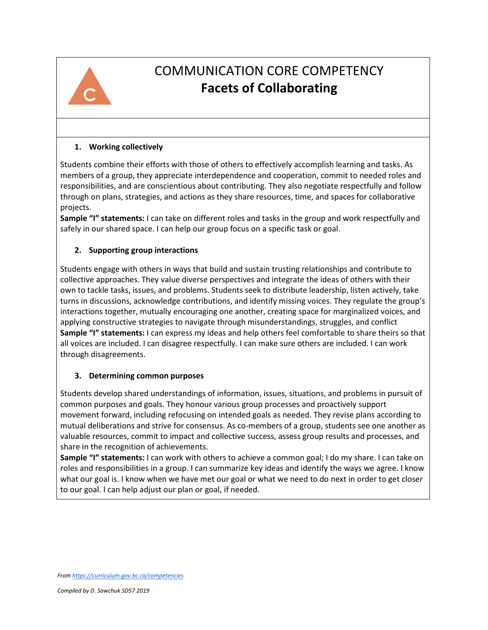

# COMMUNICATION CORE COMPETENCY **Facets of Collaborating**

### **1. Working collectively**

Students combine their efforts with those of others to effectively accomplish learning and tasks. As members of a group, they appreciate interdependence and cooperation, commit to needed roles and responsibilities, and are conscientious about contributing. They also negotiate respectfully and follow through on plans, strategies, and actions as they share resources, time, and spaces for collaborative projects.

**Sample "I" statements:** I can take on different roles and tasks in the group and work respectfully and safely in our shared space. I can help our group focus on a specific task or goal.

## **2. Supporting group interactions**

Students engage with others in ways that build and sustain trusting relationships and contribute to collective approaches. They value diverse perspectives and integrate the ideas of others with their own to tackle tasks, issues, and problems. Students seek to distribute leadership, listen actively, take turns in discussions, acknowledge contributions, and identify missing voices. They regulate the group's interactions together, mutually encouraging one another, creating space for marginalized voices, and applying constructive strategies to navigate through misunderstandings, struggles, and conflict **Sample "I" statements:** I can express my ideas and help others feel comfortable to share theirs so that all voices are included. I can disagree respectfully. I can make sure others are included. I can work through disagreements.

## **3. Determining common purposes**

Students develop shared understandings of information, issues, situations, and problems in pursuit of common purposes and goals. They honour various group processes and proactively support movement forward, including refocusing on intended goals as needed. They revise plans according to mutual deliberations and strive for consensus. As co-members of a group, students see one another as valuable resources, commit to impact and collective success, assess group results and processes, and share in the recognition of achievements.

**Sample "I" statements:** I can work with others to achieve a common goal; I do my share. I can take on roles and responsibilities in a group. I can summarize key ideas and identify the ways we agree. I know what our goal is. I know when we have met our goal or what we need to do next in order to get closer to our goal. I can help adjust our plan or goal, if needed.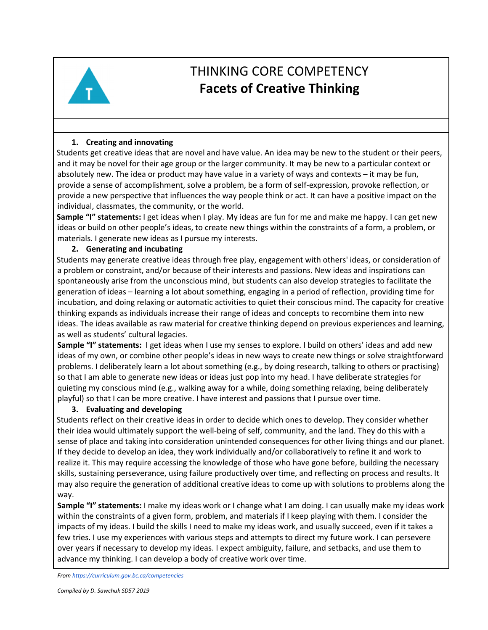

# THINKING CORE COMPETENCY **Facets of Creative Thinking**

### **1. Creating and innovating**

Students get creative ideas that are novel and have value. An idea may be new to the student or their peers, and it may be novel for their age group or the larger community. It may be new to a particular context or absolutely new. The idea or product may have value in a variety of ways and contexts – it may be fun, provide a sense of accomplishment, solve a problem, be a form of self-expression, provoke reflection, or provide a new perspective that influences the way people think or act. It can have a positive impact on the individual, classmates, the community, or the world.

**Sample "I" statements:** I get ideas when I play. My ideas are fun for me and make me happy. I can get new ideas or build on other people's ideas, to create new things within the constraints of a form, a problem, or materials. I generate new ideas as I pursue my interests.

#### **2. Generating and incubating**

Students may generate creative ideas through free play, engagement with others' ideas, or consideration of a problem or constraint, and/or because of their interests and passions. New ideas and inspirations can spontaneously arise from the unconscious mind, but students can also develop strategies to facilitate the generation of ideas – learning a lot about something, engaging in a period of reflection, providing time for incubation, and doing relaxing or automatic activities to quiet their conscious mind. The capacity for creative thinking expands as individuals increase their range of ideas and concepts to recombine them into new ideas. The ideas available as raw material for creative thinking depend on previous experiences and learning, as well as students' cultural legacies.

**Sample "I" statements:** I get ideas when I use my senses to explore. I build on others' ideas and add new ideas of my own, or combine other people's ideas in new ways to create new things or solve straightforward problems. I deliberately learn a lot about something (e.g., by doing research, talking to others or practising) so that I am able to generate new ideas or ideas just pop into my head. I have deliberate strategies for quieting my conscious mind (e.g., walking away for a while, doing something relaxing, being deliberately playful) so that I can be more creative. I have interest and passions that I pursue over time.

#### **3. Evaluating and developing**

Students reflect on their creative ideas in order to decide which ones to develop. They consider whether their idea would ultimately support the well-being of self, community, and the land. They do this with a sense of place and taking into consideration unintended consequences for other living things and our planet. If they decide to develop an idea, they work individually and/or collaboratively to refine it and work to realize it. This may require accessing the knowledge of those who have gone before, building the necessary skills, sustaining perseverance, using failure productively over time, and reflecting on process and results. It may also require the generation of additional creative ideas to come up with solutions to problems along the way.

**Sample "I" statements:** I make my ideas work or I change what I am doing. I can usually make my ideas work within the constraints of a given form, problem, and materials if I keep playing with them. I consider the impacts of my ideas. I build the skills I need to make my ideas work, and usually succeed, even if it takes a few tries. I use my experiences with various steps and attempts to direct my future work. I can persevere over years if necessary to develop my ideas. I expect ambiguity, failure, and setbacks, and use them to advance my thinking. I can develop a body of creative work over time.

*From https://curriculum.gov.bc.ca/competencies*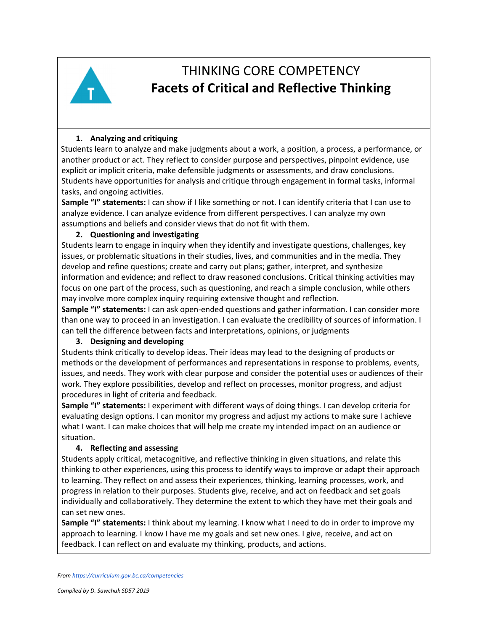

# THINKING CORE COMPETENCY **Facets of Critical and Reflective Thinking**

## **1. Analyzing and critiquing**

Students learn to analyze and make judgments about a work, a position, a process, a performance, or another product or act. They reflect to consider purpose and perspectives, pinpoint evidence, use explicit or implicit criteria, make defensible judgments or assessments, and draw conclusions. Students have opportunities for analysis and critique through engagement in formal tasks, informal tasks, and ongoing activities.

**Sample "I" statements:** I can show if I like something or not. I can identify criteria that I can use to analyze evidence. I can analyze evidence from different perspectives. I can analyze my own assumptions and beliefs and consider views that do not fit with them.

#### **2. Questioning and investigating**

Students learn to engage in inquiry when they identify and investigate questions, challenges, key issues, or problematic situations in their studies, lives, and communities and in the media. They develop and refine questions; create and carry out plans; gather, interpret, and synthesize information and evidence; and reflect to draw reasoned conclusions. Critical thinking activities may focus on one part of the process, such as questioning, and reach a simple conclusion, while others may involve more complex inquiry requiring extensive thought and reflection.

**Sample "I" statements:** I can ask open-ended questions and gather information. I can consider more than one way to proceed in an investigation. I can evaluate the credibility of sources of information. I can tell the difference between facts and interpretations, opinions, or judgments

#### **3. Designing and developing**

Students think critically to develop ideas. Their ideas may lead to the designing of products or methods or the development of performances and representations in response to problems, events, issues, and needs. They work with clear purpose and consider the potential uses or audiences of their work. They explore possibilities, develop and reflect on processes, monitor progress, and adjust procedures in light of criteria and feedback.

**Sample "I" statements:** I experiment with different ways of doing things. I can develop criteria for evaluating design options. I can monitor my progress and adjust my actions to make sure I achieve what I want. I can make choices that will help me create my intended impact on an audience or situation.

#### **4. Reflecting and assessing**

Students apply critical, metacognitive, and reflective thinking in given situations, and relate this thinking to other experiences, using this process to identify ways to improve or adapt their approach to learning. They reflect on and assess their experiences, thinking, learning processes, work, and progress in relation to their purposes. Students give, receive, and act on feedback and set goals individually and collaboratively. They determine the extent to which they have met their goals and can set new ones.

**Sample "I" statements:** I think about my learning. I know what I need to do in order to improve my approach to learning. I know I have me my goals and set new ones. I give, receive, and act on feedback. I can reflect on and evaluate my thinking, products, and actions.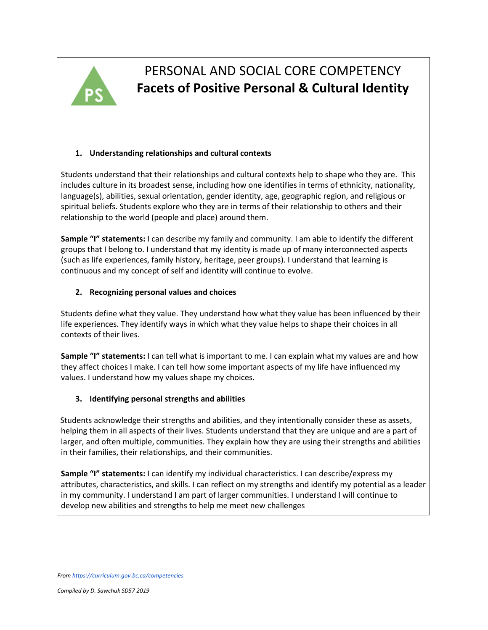

# PERSONAL AND SOCIAL CORE COMPETENCY **Facets of Positive Personal & Cultural Identity**

## **1. Understanding relationships and cultural contexts**

Students understand that their relationships and cultural contexts help to shape who they are. This includes culture in its broadest sense, including how one identifies in terms of ethnicity, nationality, language(s), abilities, sexual orientation, gender identity, age, geographic region, and religious or spiritual beliefs. Students explore who they are in terms of their relationship to others and their relationship to the world (people and place) around them.

**Sample "I" statements:** I can describe my family and community. I am able to identify the different groups that I belong to. I understand that my identity is made up of many interconnected aspects (such as life experiences, family history, heritage, peer groups). I understand that learning is continuous and my concept of self and identity will continue to evolve.

### **2. Recognizing personal values and choices**

Students define what they value. They understand how what they value has been influenced by their life experiences. They identify ways in which what they value helps to shape their choices in all contexts of their lives.

**Sample "I" statements:** I can tell what is important to me. I can explain what my values are and how they affect choices I make. I can tell how some important aspects of my life have influenced my values. I understand how my values shape my choices.

## **3. Identifying personal strengths and abilities**

Students acknowledge their strengths and abilities, and they intentionally consider these as assets, helping them in all aspects of their lives. Students understand that they are unique and are a part of larger, and often multiple, communities. They explain how they are using their strengths and abilities in their families, their relationships, and their communities.

**Sample "I" statements:** I can identify my individual characteristics. I can describe/express my attributes, characteristics, and skills. I can reflect on my strengths and identify my potential as a leader in my community. I understand I am part of larger communities. I understand I will continue to develop new abilities and strengths to help me meet new challenges

*From https://curriculum.gov.bc.ca/competencies*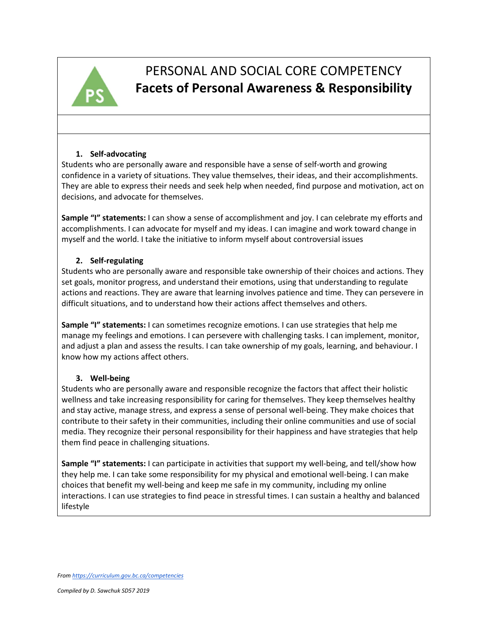

# PERSONAL AND SOCIAL CORE COMPETENCY **Facets of Personal Awareness & Responsibility**

#### **1. Self-advocating**

Students who are personally aware and responsible have a sense of self-worth and growing confidence in a variety of situations. They value themselves, their ideas, and their accomplishments. They are able to express their needs and seek help when needed, find purpose and motivation, act on decisions, and advocate for themselves.

**Sample "I" statements:** I can show a sense of accomplishment and joy. I can celebrate my efforts and accomplishments. I can advocate for myself and my ideas. I can imagine and work toward change in myself and the world. I take the initiative to inform myself about controversial issues

### **2. Self-regulating**

Students who are personally aware and responsible take ownership of their choices and actions. They set goals, monitor progress, and understand their emotions, using that understanding to regulate actions and reactions. They are aware that learning involves patience and time. They can persevere in difficult situations, and to understand how their actions affect themselves and others.

**Sample "I" statements:** I can sometimes recognize emotions. I can use strategies that help me manage my feelings and emotions. I can persevere with challenging tasks. I can implement, monitor, and adjust a plan and assess the results. I can take ownership of my goals, learning, and behaviour. I know how my actions affect others.

## **3. Well-being**

Students who are personally aware and responsible recognize the factors that affect their holistic wellness and take increasing responsibility for caring for themselves. They keep themselves healthy and stay active, manage stress, and express a sense of personal well-being. They make choices that contribute to their safety in their communities, including their online communities and use of social media. They recognize their personal responsibility for their happiness and have strategies that help them find peace in challenging situations.

**Sample "I" statements:** I can participate in activities that support my well-being, and tell/show how they help me. I can take some responsibility for my physical and emotional well-being. I can make choices that benefit my well-being and keep me safe in my community, including my online interactions. I can use strategies to find peace in stressful times. I can sustain a healthy and balanced lifestyle